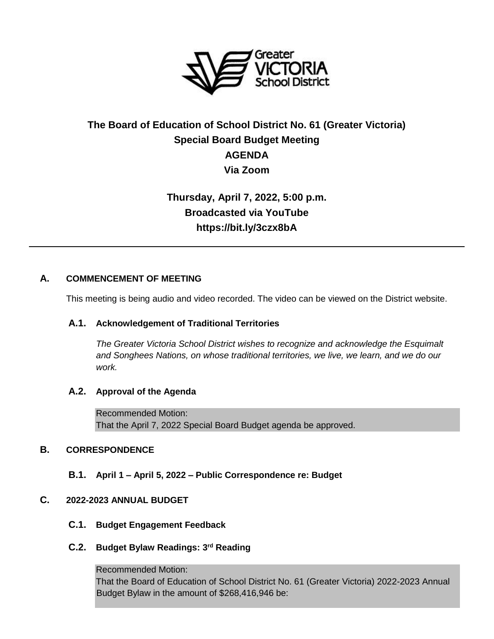

# **The Board of Education of School District No. 61 (Greater Victoria) Special Board Budget Meeting AGENDA Via Zoom**

# **Thursday, April 7, 2022, 5:00 p.m. Broadcasted via YouTube https://bit.ly/3czx8bA**

## **A. COMMENCEMENT OF MEETING**

This meeting is being audio and video recorded. The video can be viewed on the District website.

### **A.1. Acknowledgement of Traditional Territories**

*The Greater Victoria School District wishes to recognize and acknowledge the Esquimalt and Songhees Nations, on whose traditional territories, we live, we learn, and we do our work.*

### **A.2. Approval of the Agenda**

Recommended Motion: That the April 7, 2022 Special Board Budget agenda be approved.

## **B. CORRESPONDENCE**

**B.1. April 1 – April 5, 2022 – Public Correspondence re: Budget**

### **C. 2022-2023 ANNUAL BUDGET**

- **C.1. Budget Engagement Feedback**
- **C.2. Budget Bylaw Readings: 3rd Reading**

Recommended Motion: That the Board of Education of School District No. 61 (Greater Victoria) 2022-2023 Annual Budget Bylaw in the amount of \$268,416,946 be: